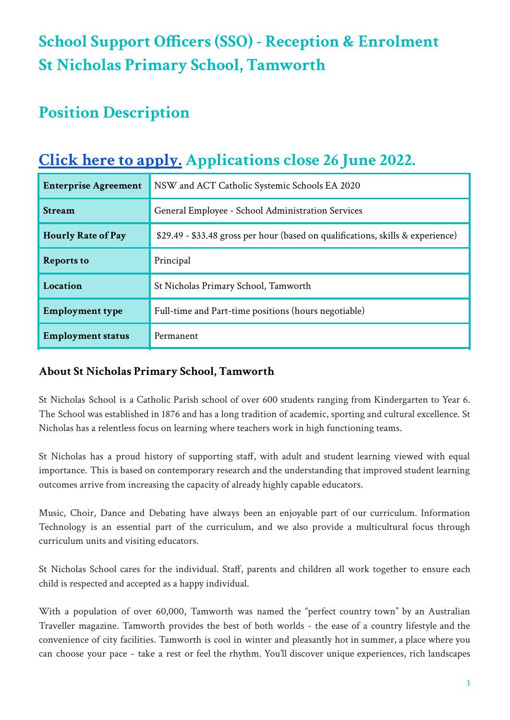# **School Support Officers (SSO) - Reception & Enrolment St Nicholas Primary School, Tamworth**

## **Position Description**

## **Click here to [apply.](https://www.surveymonkey.com/r/6S5ND5M) Applications close 26 June 2022.**

| <b>Enterprise Agreement</b> | NSW and ACT Catholic Systemic Schools EA 2020                                   |
|-----------------------------|---------------------------------------------------------------------------------|
| <b>Stream</b>               | General Employee - School Administration Services                               |
| <b>Hourly Rate of Pay</b>   | \$29.49 - \$33.48 gross per hour (based on qualifications, skills & experience) |
| <b>Reports to</b>           | Principal                                                                       |
| Location                    | St Nicholas Primary School, Tamworth                                            |
| <b>Employment type</b>      | Full-time and Part-time positions (hours negotiable)                            |
| <b>Employment status</b>    | Permanent                                                                       |

#### **About St Nicholas Primary School, Tamworth**

St Nicholas School is a Catholic Parish school of over 600 students ranging from Kindergarten to Year 6. The School was established in 1876 and has a long tradition of academic, sporting and cultural excellence. St Nicholas has a relentless focus on learning where teachers work in high functioning teams.

St Nicholas has a proud history of supporting staff, with adult and student learning viewed with equal importance. This is based on contemporary research and the understanding that improved student learning outcomes arrive from increasing the capacity of already highly capable educators.

Music, Choir, Dance and Debating have always been an enjoyable part of our curriculum. Information Technology is an essential part of the curriculum, and we also provide a multicultural focus through curriculum units and visiting educators.

St Nicholas School cares for the individual. Staff, parents and children all work together to ensure each child is respected and accepted as a happy individual.

With a population of over 60,000, Tamworth was named the "perfect country town" by an Australian Traveller magazine. Tamworth provides the best of both worlds - the ease of a country lifestyle and the convenience of city facilities. Tamworth is cool in winter and pleasantly hot in summer, a place where you can choose your pace - take a rest or feel the rhythm. You'll discover unique experiences, rich landscapes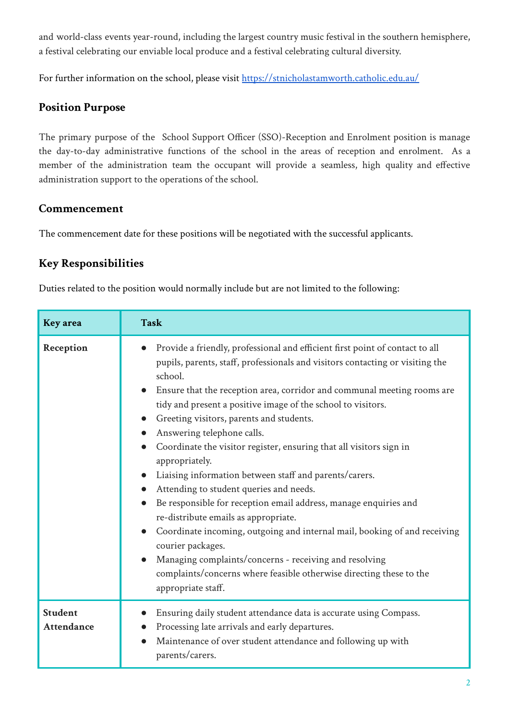and world-class events year-round, including the largest country music festival in the southern hemisphere, a festival celebrating our enviable local produce and a festival celebrating cultural diversity.

For further information on the school, please visit <https://stnicholastamworth.catholic.edu.au/>

### **Position Purpose**

The primary purpose of the School Support Officer (SSO)-Reception and Enrolment position is manage the day-to-day administrative functions of the school in the areas of reception and enrolment. As a member of the administration team the occupant will provide a seamless, high quality and effective administration support to the operations of the school.

#### **Commencement**

The commencement date for these positions will be negotiated with the successful applicants.

## **Key Responsibilities**

Duties related to the position would normally include but are not limited to the following:

| <b>Key</b> area                     | <b>Task</b>                                                                                                                                                                                                                                                                                                                                                                                                                                                                                                                                                                                                                                                                                                                                                                                                                                                                                                                                                                   |
|-------------------------------------|-------------------------------------------------------------------------------------------------------------------------------------------------------------------------------------------------------------------------------------------------------------------------------------------------------------------------------------------------------------------------------------------------------------------------------------------------------------------------------------------------------------------------------------------------------------------------------------------------------------------------------------------------------------------------------------------------------------------------------------------------------------------------------------------------------------------------------------------------------------------------------------------------------------------------------------------------------------------------------|
| Reception                           | Provide a friendly, professional and efficient first point of contact to all<br>$\bullet$<br>pupils, parents, staff, professionals and visitors contacting or visiting the<br>school.<br>Ensure that the reception area, corridor and communal meeting rooms are<br>tidy and present a positive image of the school to visitors.<br>Greeting visitors, parents and students.<br>Answering telephone calls.<br>Coordinate the visitor register, ensuring that all visitors sign in<br>appropriately.<br>Liaising information between staff and parents/carers.<br>Attending to student queries and needs.<br>Be responsible for reception email address, manage enquiries and<br>re-distribute emails as appropriate.<br>Coordinate incoming, outgoing and internal mail, booking of and receiving<br>courier packages.<br>Managing complaints/concerns - receiving and resolving<br>complaints/concerns where feasible otherwise directing these to the<br>appropriate staff. |
| <b>Student</b><br><b>Attendance</b> | Ensuring daily student attendance data is accurate using Compass.<br>Processing late arrivals and early departures.<br>Maintenance of over student attendance and following up with<br>parents/carers.                                                                                                                                                                                                                                                                                                                                                                                                                                                                                                                                                                                                                                                                                                                                                                        |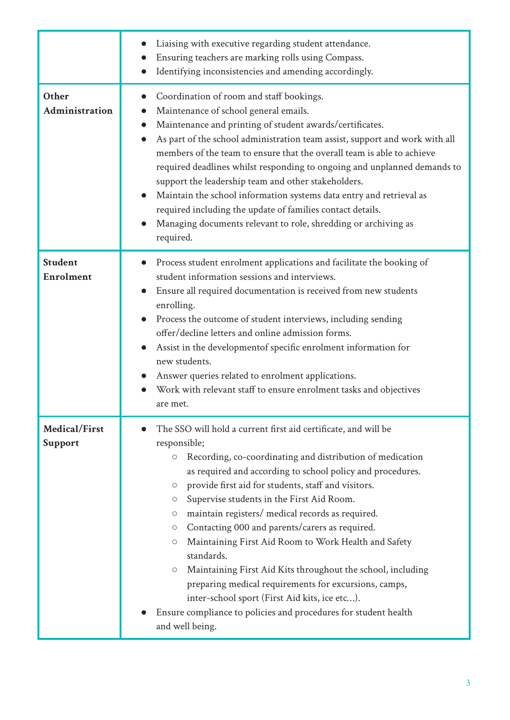|                                    | Liaising with executive regarding student attendance.<br>Ensuring teachers are marking rolls using Compass.<br>Identifying inconsistencies and amending accordingly.                                                                                                                                                                                                                                                                                                                                                                                                                                                                                                                                                                                                                                                                                             |
|------------------------------------|------------------------------------------------------------------------------------------------------------------------------------------------------------------------------------------------------------------------------------------------------------------------------------------------------------------------------------------------------------------------------------------------------------------------------------------------------------------------------------------------------------------------------------------------------------------------------------------------------------------------------------------------------------------------------------------------------------------------------------------------------------------------------------------------------------------------------------------------------------------|
| Other<br>Administration            | Coordination of room and staff bookings.<br>$\bullet$<br>Maintenance of school general emails.<br>$\bullet$<br>Maintenance and printing of student awards/certificates.<br>$\bullet$<br>As part of the school administration team assist, support and work with all<br>members of the team to ensure that the overall team is able to achieve<br>required deadlines whilst responding to ongoing and unplanned demands to<br>support the leadership team and other stakeholders.<br>Maintain the school information systems data entry and retrieval as<br>required including the update of families contact details.<br>Managing documents relevant to role, shredding or archiving as<br>required.                                                                                                                                                             |
| <b>Student</b><br><b>Enrolment</b> | Process student enrolment applications and facilitate the booking of<br>student information sessions and interviews.<br>Ensure all required documentation is received from new students<br>enrolling.<br>Process the outcome of student interviews, including sending<br>offer/decline letters and online admission forms.<br>Assist in the developmentof specific enrolment information for<br>$\bullet$<br>new students.<br>Answer queries related to enrolment applications.<br>Work with relevant staff to ensure enrolment tasks and objectives<br>are met.                                                                                                                                                                                                                                                                                                 |
| Medical/First<br><b>Support</b>    | The SSO will hold a current first aid certificate, and will be<br>responsible;<br>Recording, co-coordinating and distribution of medication<br>$\bigcirc$<br>as required and according to school policy and procedures.<br>provide first aid for students, staff and visitors.<br>$\circ$<br>Supervise students in the First Aid Room.<br>$\circ$<br>maintain registers/ medical records as required.<br>$\circ$<br>Contacting 000 and parents/carers as required.<br>$\circ$<br>Maintaining First Aid Room to Work Health and Safety<br>$\circlearrowright$<br>standards.<br>Maintaining First Aid Kits throughout the school, including<br>$\circlearrowright$<br>preparing medical requirements for excursions, camps,<br>inter-school sport (First Aid kits, ice etc).<br>Ensure compliance to policies and procedures for student health<br>and well being. |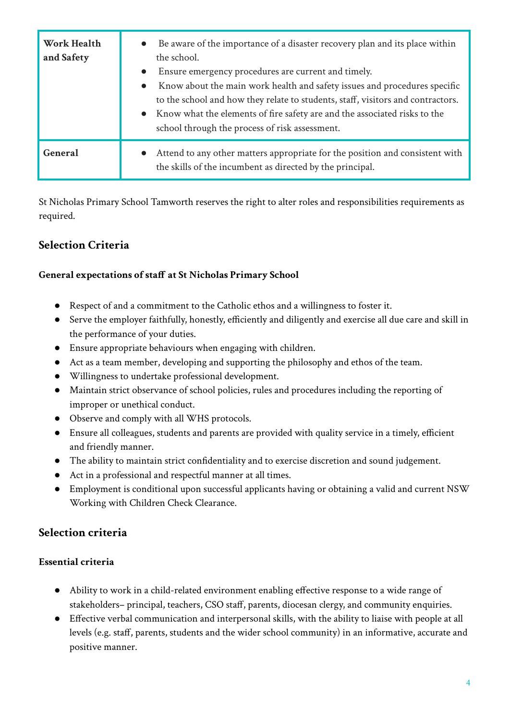| <b>Work Health</b><br>and Safety | Be aware of the importance of a disaster recovery plan and its place within<br>$\bullet$<br>the school.<br>Ensure emergency procedures are current and timely.<br>$\bullet$<br>Know about the main work health and safety issues and procedures specific<br>$\bullet$<br>to the school and how they relate to students, staff, visitors and contractors.<br>Know what the elements of fire safety are and the associated risks to the<br>$\bullet$<br>school through the process of risk assessment. |
|----------------------------------|------------------------------------------------------------------------------------------------------------------------------------------------------------------------------------------------------------------------------------------------------------------------------------------------------------------------------------------------------------------------------------------------------------------------------------------------------------------------------------------------------|
| General                          | Attend to any other matters appropriate for the position and consistent with<br>$\bullet$<br>the skills of the incumbent as directed by the principal.                                                                                                                                                                                                                                                                                                                                               |

St Nicholas Primary School Tamworth reserves the right to alter roles and responsibilities requirements as required.

### **Selection Criteria**

#### **General expectations of staff at St Nicholas Primary School**

- Respect of and a commitment to the Catholic ethos and a willingness to foster it.
- Serve the employer faithfully, honestly, efficiently and diligently and exercise all due care and skill in the performance of your duties.
- Ensure appropriate behaviours when engaging with children.
- Act as a team member, developing and supporting the philosophy and ethos of the team.
- Willingness to undertake professional development.
- Maintain strict observance of school policies, rules and procedures including the reporting of improper or unethical conduct.
- Observe and comply with all WHS protocols.
- Ensure all colleagues, students and parents are provided with quality service in a timely, efficient and friendly manner.
- The ability to maintain strict confidentiality and to exercise discretion and sound judgement.
- Act in a professional and respectful manner at all times.
- Employment is conditional upon successful applicants having or obtaining a valid and current NSW Working with Children Check Clearance.

#### **Selection criteria**

#### **Essential criteria**

- Ability to work in a child-related environment enabling effective response to a wide range of stakeholders– principal, teachers, CSO staff, parents, diocesan clergy, and community enquiries.
- Effective verbal communication and interpersonal skills, with the ability to liaise with people at all levels (e.g. staff, parents, students and the wider school community) in an informative, accurate and positive manner.